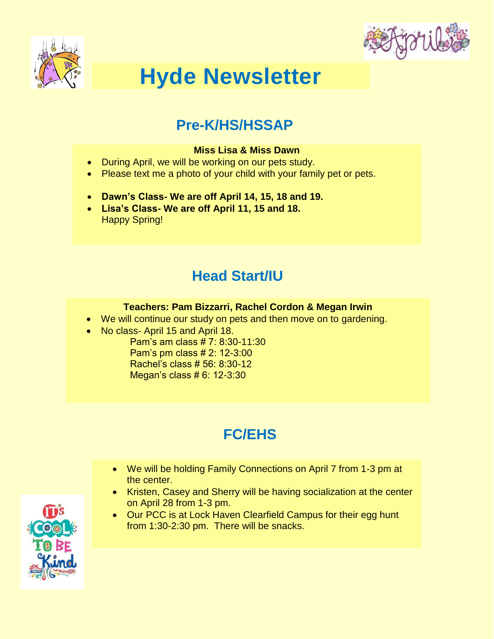



# **Hyde Newsletter**

#### **Pre-K/HS/HSSAP**

#### **Miss Lisa & Miss Dawn**

- During April, we will be working on our pets study.
- Please text me a photo of your child with your family pet or pets.
- **Dawn's Class- We are off April 14, 15, 18 and 19.**
- **Lisa's Class- We are off April 11, 15 and 18.** Happy Spring!

### **Head Start/IU**

#### **Teachers: Pam Bizzarri, Rachel Cordon & Megan Irwin**

- We will continue our study on pets and then move on to gardening.
- No class- April 15 and April 18.

Pam's am class # 7: 8:30-11:30 Pam's pm class # 2: 12-3:00 Rachel's class # 56: 8:30-12 Megan's class # 6: 12-3:30

# **FC/EHS**

- We will be holding Family Connections on April 7 from 1-3 pm at the center.
- Kristen, Casey and Sherry will be having socialization at the center on April 28 from 1-3 pm.
- Our PCC is at Lock Haven Clearfield Campus for their egg hunt from 1:30-2:30 pm. There will be snacks.